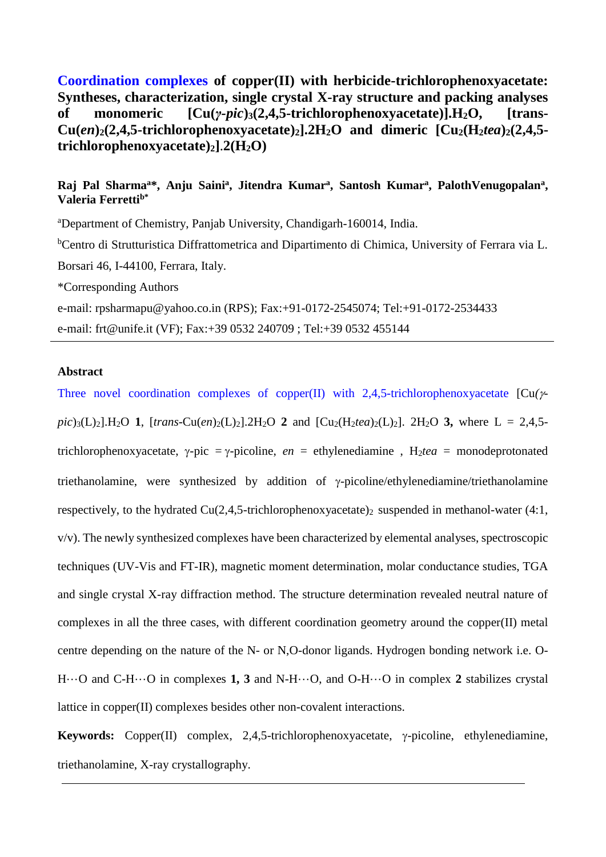**Coordination complexes of copper(II) with herbicide-trichlorophenoxyacetate: Syntheses, characterization, single crystal X-ray structure and packing analyses of monomeric [Cu(***γ-pic***)3(2,4,5-trichlorophenoxyacetate)].H2O, [trans-Cu(***en***)2(2,4,5-trichlorophenoxyacetate)2].2H2O and dimeric [Cu2(H2***tea***)2(2,4,5 trichlorophenoxyacetate)2]**.**2(H2O)**

## **Raj Pal Sharma<sup>a</sup>\*, Anju Saini<sup>a</sup> , Jitendra Kumar<sup>a</sup> , Santosh Kumar<sup>a</sup> , PalothVenugopalan<sup>a</sup> , Valeria Ferrettib\***

<sup>a</sup>Department of Chemistry, Panjab University, Chandigarh-160014, India.

<sup>b</sup>Centro di Strutturistica Diffrattometrica and Dipartimento di Chimica, University of Ferrara via L. Borsari 46, I-44100, Ferrara, Italy.

\*Corresponding Authors

e-mail: rpsharmapu@yahoo.co.in (RPS); Fax:+91-0172-2545074; Tel:+91-0172-2534433 e-mail: [frt@unife.it](mailto:frt@unife.it) (VF); Fax:+39 0532 240709 ; Tel:+39 0532 455144

**Abstract**

Three novel coordination complexes of copper(II) with 2,4,5-trichlorophenoxyacetate  $\left[Cu/\gamma\right]$  $pic$ <sub>3</sub>(L)<sub>2</sub>].H<sub>2</sub>O **1**,  $[trans-Cu(en)_2(L)_2]$ .2H<sub>2</sub>O **2** and  $[Cu_2(H_2tea)_2(L)_2]$ . 2H<sub>2</sub>O **3**, where L = 2,4,5trichlorophenoxyacetate, y-pic = y-picoline,  $en =$  ethylenediamine,  $H_2tea =$  monodeprotonated triethanolamine, were synthesized by addition of  $\gamma$ -picoline/ethylenediamine/triethanolamine respectively, to the hydrated  $Cu(2,4,5-$ trichlorophenoxyacetate)<sub>2</sub> suspended in methanol-water (4:1, v/v). The newly synthesized complexes have been characterized by elemental analyses, spectroscopic techniques (UV-Vis and FT-IR), magnetic moment determination, molar conductance studies, TGA and single crystal X-ray diffraction method. The structure determination revealed neutral nature of complexes in all the three cases, with different coordination geometry around the copper(II) metal centre depending on the nature of the N- or N,O-donor ligands. Hydrogen bonding network i.e. O-H···O and C-H···O in complexes **1, 3** and N-H···O, and O-H···O in complex **2** stabilizes crystal lattice in copper(II) complexes besides other non-covalent interactions.

**Keywords:** Copper(II) complex,  $2,4,5$ -trichlorophenoxyacetate,  $\gamma$ -picoline, ethylenediamine, triethanolamine, X-ray crystallography.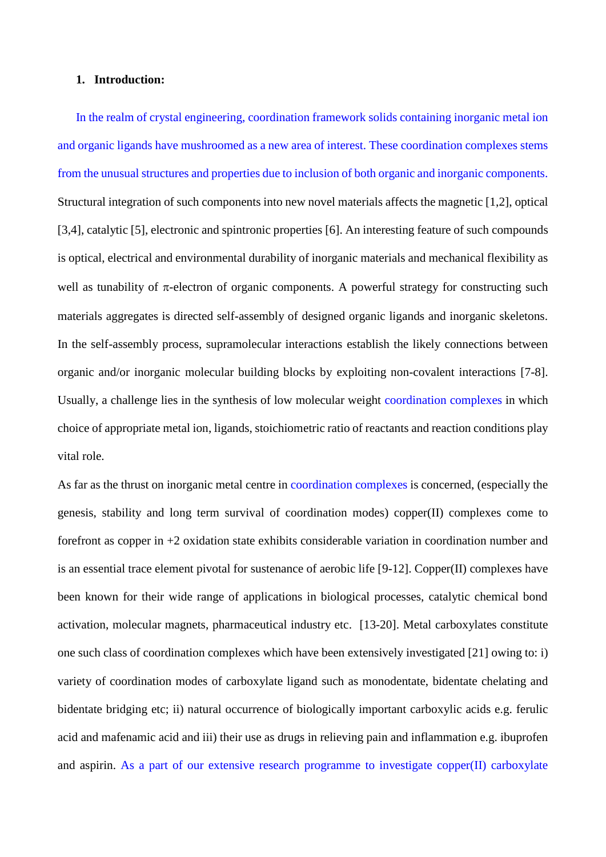## **1. Introduction:**

In the realm of crystal engineering, coordination framework solids containing inorganic metal ion and organic ligands have mushroomed as a new area of interest. These coordination complexes stems from the unusual structures and properties due to inclusion of both organic and inorganic components. Structural integration of such components into new novel materials affects the magnetic [1,2], optical [3,4], catalytic [5], electronic and spintronic properties [6]. An interesting feature of such compounds is optical, electrical and environmental durability of inorganic materials and mechanical flexibility as well as tunability of  $\pi$ -electron of organic components. A powerful strategy for constructing such materials aggregates is directed self-assembly of designed organic ligands and inorganic skeletons. In the self-assembly process, supramolecular interactions establish the likely connections between organic and/or inorganic molecular building blocks by exploiting non-covalent interactions [7-8]. Usually, a challenge lies in the synthesis of low molecular weight coordination complexes in which choice of appropriate metal ion, ligands, stoichiometric ratio of reactants and reaction conditions play vital role.

As far as the thrust on inorganic metal centre in coordination complexes is concerned, (especially the genesis, stability and long term survival of coordination modes) copper(II) complexes come to forefront as copper in +2 oxidation state exhibits considerable variation in coordination number and is an essential trace element pivotal for sustenance of aerobic life [9-12]. Copper(II) complexes have been known for their wide range of applications in biological processes, catalytic chemical bond activation, molecular magnets, pharmaceutical industry etc. [13-20]. Metal carboxylates constitute one such class of coordination complexes which have been extensively investigated [21] owing to: i) variety of coordination modes of carboxylate ligand such as monodentate, bidentate chelating and bidentate bridging etc; ii) natural occurrence of biologically important carboxylic acids e.g. ferulic acid and mafenamic acid and iii) their use as drugs in relieving pain and inflammation e.g. ibuprofen and aspirin. As a part of our extensive research programme to investigate copper(II) carboxylate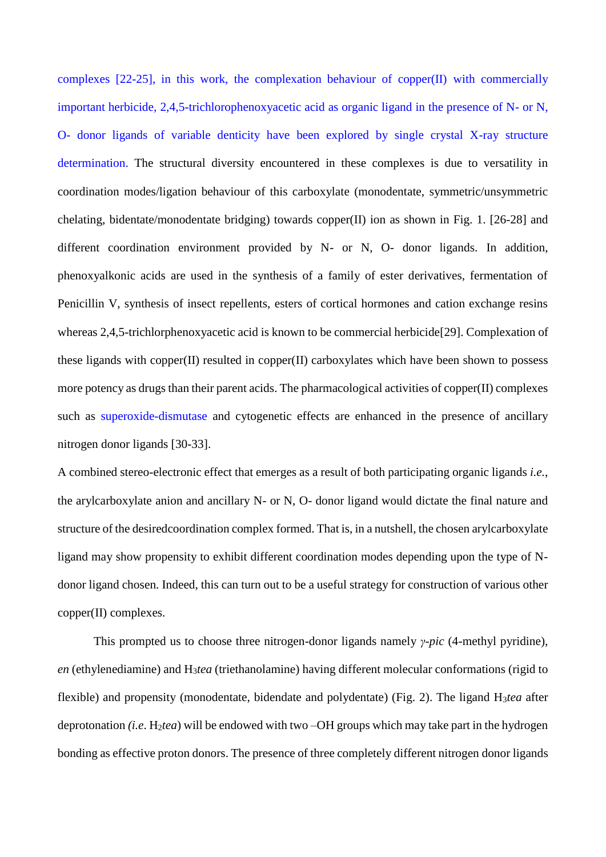complexes [22-25], in this work, the complexation behaviour of copper(II) with commercially important herbicide, 2,4,5-trichlorophenoxyacetic acid as organic ligand in the presence of N- or N, O- donor ligands of variable denticity have been explored by single crystal X-ray structure determination. The structural diversity encountered in these complexes is due to versatility in coordination modes/ligation behaviour of this carboxylate (monodentate, symmetric/unsymmetric chelating, bidentate/monodentate bridging) towards copper(II) ion as shown in Fig. 1. [26-28] and different coordination environment provided by N- or N, O- donor ligands. In addition, phenoxyalkonic acids are used in the synthesis of a family of ester derivatives, fermentation of Penicillin V, synthesis of insect repellents, esters of cortical hormones and cation exchange resins whereas 2,4,5-trichlorphenoxyacetic acid is known to be commercial herbicide[29]. Complexation of these ligands with copper(II) resulted in copper(II) carboxylates which have been shown to possess more potency as drugs than their parent acids. The pharmacological activities of copper(II) complexes such as superoxide-dismutase and cytogenetic effects are enhanced in the presence of ancillary nitrogen donor ligands [30-33].

A combined stereo-electronic effect that emerges as a result of both participating organic ligands *i.e.*, the arylcarboxylate anion and ancillary N- or N, O- donor ligand would dictate the final nature and structure of the desiredcoordination complex formed. That is, in a nutshell, the chosen arylcarboxylate ligand may show propensity to exhibit different coordination modes depending upon the type of Ndonor ligand chosen. Indeed, this can turn out to be a useful strategy for construction of various other copper(II) complexes.

This prompted us to choose three nitrogen-donor ligands namely *γ-pic* (4-methyl pyridine), *en* (ethylenediamine) and H3*tea* (triethanolamine) having different molecular conformations (rigid to flexible) and propensity (monodentate, bidendate and polydentate) (Fig. 2). The ligand H3*tea* after deprotonation *(i.e.* H<sub>2</sub>*tea*) will be endowed with two –OH groups which may take part in the hydrogen bonding as effective proton donors. The presence of three completely different nitrogen donor ligands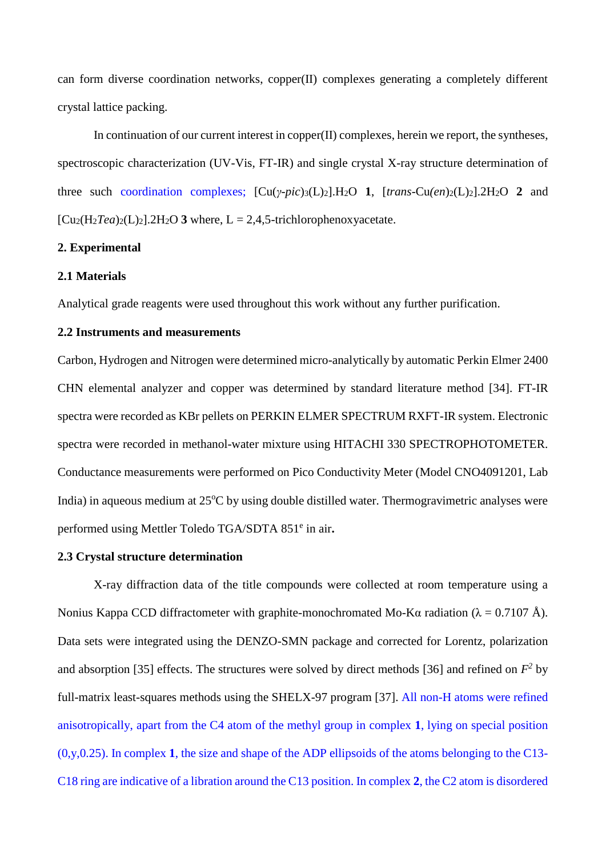can form diverse coordination networks, copper(II) complexes generating a completely different crystal lattice packing.

In continuation of our current interest in copper(II) complexes, herein we report, the syntheses, spectroscopic characterization (UV-Vis, FT-IR) and single crystal X-ray structure determination of three such coordination complexes;  $\left[\text{Cu}(y\text{-}pic)_{3}\text{(L)}_{2}\right]$ .  $H_{2}O$  **1**,  $\left[\text{trans-Cu}(en)_{2}\text{(L)}_{2}\right]$ .  $2H_{2}O$  **2** and  $[C_{u2}(H_2Tea)_2(L)_2]$ .2H<sub>2</sub>O **3** where,  $L = 2.4$ ,5-trichlorophenoxyacetate.

## **2. Experimental**

## **2.1 Materials**

Analytical grade reagents were used throughout this work without any further purification.

## **2.2 Instruments and measurements**

Carbon, Hydrogen and Nitrogen were determined micro-analytically by automatic Perkin Elmer 2400 CHN elemental analyzer and copper was determined by standard literature method [34]. FT-IR spectra were recorded as KBr pellets on PERKIN ELMER SPECTRUM RXFT-IR system. Electronic spectra were recorded in methanol-water mixture using HITACHI 330 SPECTROPHOTOMETER. Conductance measurements were performed on Pico Conductivity Meter (Model CNO4091201, Lab India) in aqueous medium at  $25^{\circ}$ C by using double distilled water. Thermogravimetric analyses were performed using Mettler Toledo TGA/SDTA 851<sup>e</sup> in air.

## **2.3 Crystal structure determination**

X-ray diffraction data of the title compounds were collected at room temperature using a Nonius Kappa CCD diffractometer with graphite-monochromated Mo-Kα radiation (λ = 0.7107 Å). Data sets were integrated using the DENZO-SMN package and corrected for Lorentz, polarization and absorption [35] effects. The structures were solved by direct methods [36] and refined on  $F^2$  by full-matrix least-squares methods using the SHELX-97 program [37]. All non-H atoms were refined anisotropically, apart from the C4 atom of the methyl group in complex **1**, lying on special position (0,y,0.25). In complex **1**, the size and shape of the ADP ellipsoids of the atoms belonging to the C13- C18 ring are indicative of a libration around the C13 position. In complex **2**, the C2 atom is disordered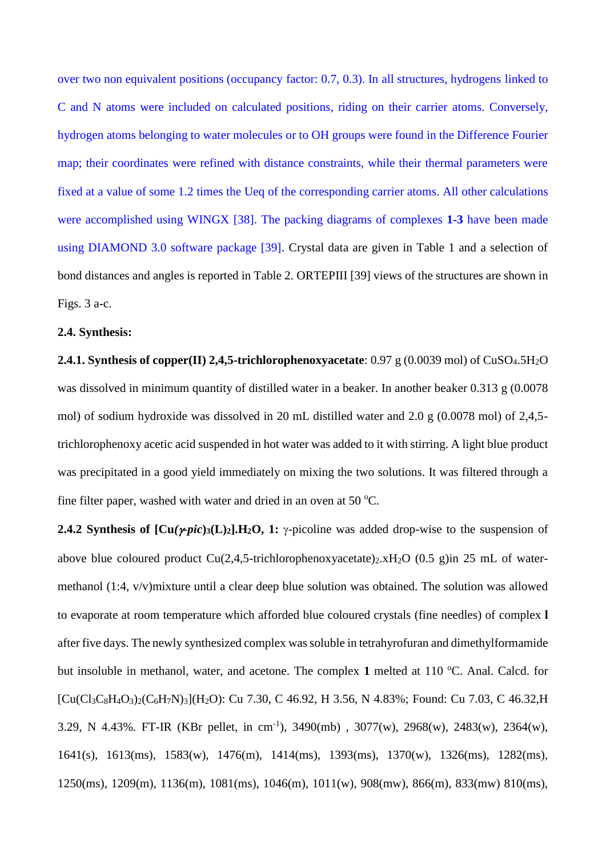over two non equivalent positions (occupancy factor: 0.7, 0.3). In all structures, hydrogens linked to C and N atoms were included on calculated positions, riding on their carrier atoms. Conversely, hydrogen atoms belonging to water molecules or to OH groups were found in the Difference Fourier map; their coordinates were refined with distance constraints, while their thermal parameters were fixed at a value of some 1.2 times the Ueq of the corresponding carrier atoms. All other calculations were accomplished using WINGX [38]. The packing diagrams of complexes **1-3** have been made using DIAMOND 3.0 software package [39]. Crystal data are given in Table 1 and a selection of bond distances and angles is reported in Table 2. ORTEPIII [39] views of the structures are shown in Figs. 3 a-c.

## **2.4. Synthesis:**

**2.4.1. Synthesis of copper(II) 2,4,5-trichlorophenoxyacetate**: 0.97 g (0.0039 mol) of CuSO<sub>4</sub>.5H<sub>2</sub>O was dissolved in minimum quantity of distilled water in a beaker. In another beaker 0.313 g (0.0078) mol) of sodium hydroxide was dissolved in 20 mL distilled water and 2.0 g (0.0078 mol) of 2,4,5 trichlorophenoxy acetic acid suspended in hot water was added to it with stirring. A light blue product was precipitated in a good yield immediately on mixing the two solutions. It was filtered through a fine filter paper, washed with water and dried in an oven at 50 °C.

**2.4.2 Synthesis of**  $\left[\text{Cu}(\gamma \text{pic})_3(\text{L})_2\right] \cdot \text{H}_2\text{O}$ **, 1:**  $\gamma$ **-picoline was added drop-wise to the suspension of** above blue coloured product Cu(2,4,5-trichlorophenoxyacetate)<sub>2</sub>.xH<sub>2</sub>O (0.5 g)in 25 mL of watermethanol (1:4, v/v)mixture until a clear deep blue solution was obtained. The solution was allowed to evaporate at room temperature which afforded blue coloured crystals (fine needles) of complex **l** after five days. The newly synthesized complex was soluble in tetrahyrofuran and dimethylformamide but insoluble in methanol, water, and acetone. The complex 1 melted at 110 °C. Anal. Calcd. for  $[Cu(Cl_3C_8H_4O_3)_2(C_6H_7N)_3](H_2O)$ : Cu 7.30, C 46.92, H 3.56, N 4.83%; Found: Cu 7.03, C 46.32, H 3.29, N 4.43%. FT-IR (KBr pellet, in cm<sup>-1</sup>), 3490(mb), 3077(w), 2968(w), 2483(w), 2364(w), 1641(s), 1613(ms), 1583(w), 1476(m), 1414(ms), 1393(ms), 1370(w), 1326(ms), 1282(ms), 1250(ms), 1209(m), 1136(m), 1081(ms), 1046(m), 1011(w), 908(mw), 866(m), 833(mw) 810(ms),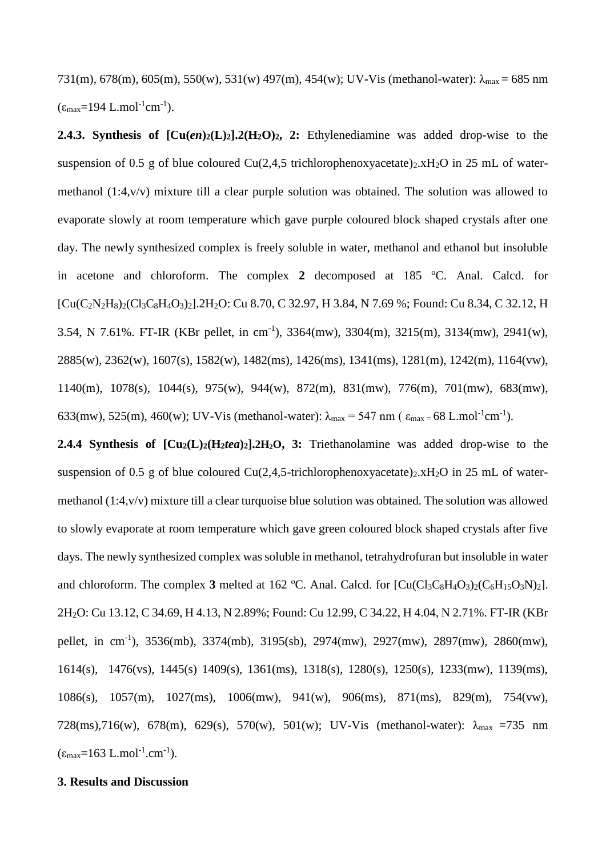731(m), 678(m), 605(m), 550(w), 531(w) 497(m), 454(w); UV-Vis (methanol-water):  $\lambda_{\text{max}} = 685 \text{ nm}$  $(\epsilon_{\text{max}} = 194 \text{ L} \cdot \text{mol}^{-1} \text{cm}^{-1}).$ 

**2.4.3. Synthesis of**  $\text{[Cu}(en)_2(\text{L})_2]$ **. <b>2**(H<sub>2</sub>O)<sub>2</sub>, 2: Ethylenediamine was added drop-wise to the suspension of 0.5 g of blue coloured Cu(2,4,5 trichlorophenoxyacetate)<sub>2</sub>.xH<sub>2</sub>O in 25 mL of watermethanol (1:4,v/v) mixture till a clear purple solution was obtained. The solution was allowed to evaporate slowly at room temperature which gave purple coloured block shaped crystals after one day. The newly synthesized complex is freely soluble in water, methanol and ethanol but insoluble in acetone and chloroform. The complex  $2$  decomposed at 185  $^{\circ}$ C. Anal. Calcd. for [Cu(C2N2H8)2(Cl3C8H4O3)2].2H2O: Cu 8.70, C 32.97, H 3.84, N 7.69 %; Found: Cu 8.34, C 32.12, H 3.54, N 7.61%. FT-IR (KBr pellet, in cm<sup>-1</sup>), 3364(mw), 3304(m), 3215(m), 3134(mw), 2941(w), 2885(w), 2362(w), 1607(s), 1582(w), 1482(ms), 1426(ms), 1341(ms), 1281(m), 1242(m), 1164(vw), 1140(m), 1078(s), 1044(s), 975(w), 944(w), 872(m), 831(mw), 776(m), 701(mw), 683(mw), 633(mw), 525(m), 460(w); UV-Vis (methanol-water):  $\lambda_{\text{max}} = 547 \text{ nm}$  ( $\varepsilon_{\text{max}} = 68 \text{ L} \cdot \text{mol}^{-1} \text{cm}^{-1}$ ).

**2.4.4 Synthesis of**  $\left[ \text{Cu}_2(\text{L})_2(\text{H}_2 t e a)_2 \right]$ **. <b>2H**<sub>2</sub>**O**, **3:** Triethanolamine was added drop-wise to the suspension of 0.5 g of blue coloured Cu(2,4,5-trichlorophenoxyacetate)<sub>2</sub>.xH<sub>2</sub>O in 25 mL of watermethanol (1:4,v/v) mixture till a clear turquoise blue solution was obtained. The solution was allowed to slowly evaporate at room temperature which gave green coloured block shaped crystals after five days. The newly synthesized complex was soluble in methanol, tetrahydrofuran but insoluble in water and chloroform. The complex **3** melted at 162 °C. Anal. Calcd. for  $\left[\text{Cu}(Cl_3C_8H_4O_3)_2(C_6H_15O_3N)_2\right]$ . 2H2O: Cu 13.12, C 34.69, H 4.13, N 2.89%; Found: Cu 12.99, C 34.22, H 4.04, N 2.71%. FT-IR (KBr pellet, in cm<sup>-1</sup>), 3536(mb), 3374(mb), 3195(sb), 2974(mw), 2927(mw), 2897(mw), 2860(mw), 1614(s), 1476(vs), 1445(s) 1409(s), 1361(ms), 1318(s), 1280(s), 1250(s), 1233(mw), 1139(ms), 1086(s), 1057(m), 1027(ms), 1006(mw), 941(w), 906(ms), 871(ms), 829(m), 754(vw), 728(ms),716(w), 678(m), 629(s), 570(w), 501(w); UV-Vis (methanol-water):  $\lambda_{\text{max}}$  =735 nm  $(\epsilon_{\text{max}} = 163 \text{ L} \cdot \text{mol}^{-1} \cdot \text{cm}^{-1}).$ 

## **3. Results and Discussion**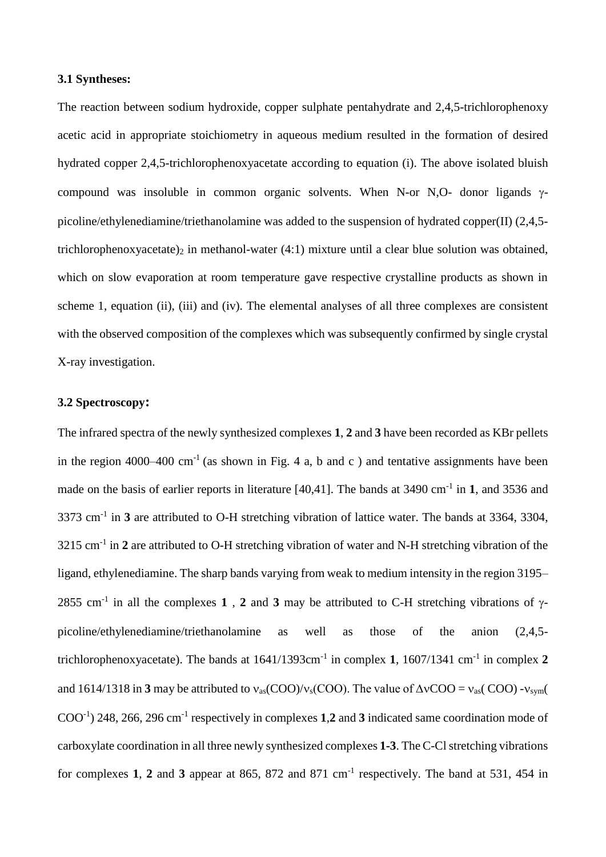#### **3.1 Syntheses:**

The reaction between sodium hydroxide, copper sulphate pentahydrate and 2,4,5-trichlorophenoxy acetic acid in appropriate stoichiometry in aqueous medium resulted in the formation of desired hydrated copper 2,4,5-trichlorophenoxyacetate according to equation (i). The above isolated bluish compound was insoluble in common organic solvents. When N-or N,O- donor ligands  $\gamma$ picoline/ethylenediamine/triethanolamine was added to the suspension of hydrated copper(II) (2,4,5 trichlorophenoxyacetate)<sub>2</sub> in methanol-water  $(4:1)$  mixture until a clear blue solution was obtained, which on slow evaporation at room temperature gave respective crystalline products as shown in scheme 1, equation (ii), (iii) and (iv). The elemental analyses of all three complexes are consistent with the observed composition of the complexes which was subsequently confirmed by single crystal X-ray investigation.

## **3.2 Spectroscopy:**

The infrared spectra of the newly synthesized complexes **1**, **2** and **3** have been recorded as KBr pellets in the region 4000–400 cm<sup>-1</sup> (as shown in Fig. 4 a, b and c) and tentative assignments have been made on the basis of earlier reports in literature [40,41]. The bands at 3490 cm<sup>-1</sup> in 1, and 3536 and 3373 cm-1 in **3** are attributed to O-H stretching vibration of lattice water. The bands at 3364, 3304, 3215 cm-1 in **2** are attributed to O-H stretching vibration of water and N-H stretching vibration of the ligand, ethylenediamine. The sharp bands varying from weak to medium intensity in the region 3195– 2855 cm<sup>-1</sup> in all the complexes 1, 2 and 3 may be attributed to C-H stretching vibrations of  $\gamma$ picoline/ethylenediamine/triethanolamine as well as those of the anion (2,4,5 trichlorophenoxyacetate). The bands at  $1641/1393$ cm<sup>-1</sup> in complex 1,  $1607/1341$  cm<sup>-1</sup> in complex 2 and 1614/1318 in **3** may be attributed to  $v_{as}(COO)/v_s(COO)$ . The value of  $\Delta vCOO = v_{as}(COO) - v_{sym}($ COO-1 ) 248, 266, 296 cm-1 respectively in complexes **1**,**2** and **3** indicated same coordination mode of carboxylate coordination in all three newly synthesized complexes **1-3**. The C-Cl stretching vibrations for complexes 1, 2 and 3 appear at 865, 872 and 871 cm<sup>-1</sup> respectively. The band at 531, 454 in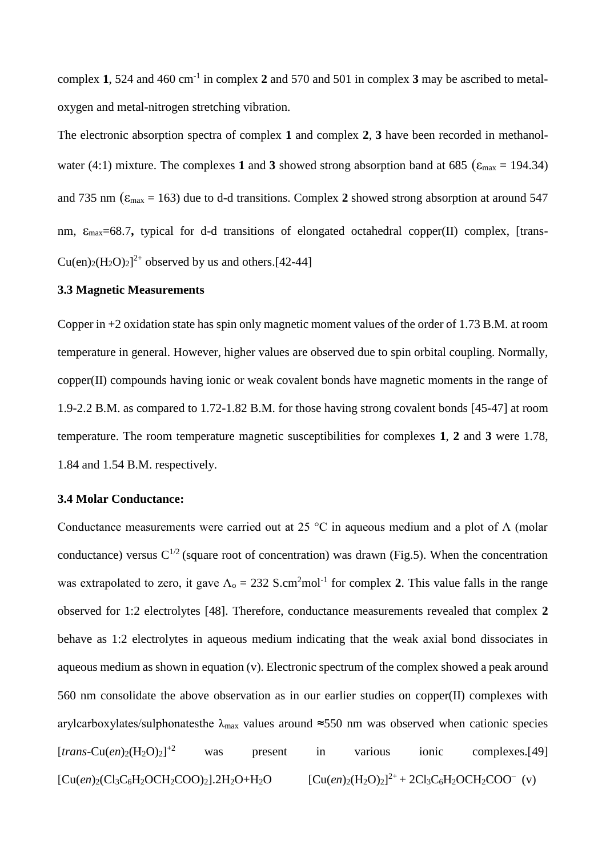complex **1**, 524 and 460 cm-1 in complex **2** and 570 and 501 in complex **3** may be ascribed to metaloxygen and metal-nitrogen stretching vibration.

The electronic absorption spectra of complex **1** and complex **2**, **3** have been recorded in methanolwater (4:1) mixture. The complexes 1 and 3 showed strong absorption band at 685 ( $\varepsilon_{\text{max}} = 194.34$ ) and 735 nm ( $\varepsilon_{\text{max}} = 163$ ) due to d-d transitions. Complex 2 showed strong absorption at around 547 nm, εmax=68.7**,** typical for d-d transitions of elongated octahedral copper(II) complex, [trans- $Cu(en)_2(H_2O)_2]^{2+}$  observed by us and others.[42-44]

## **3.3 Magnetic Measurements**

Copper in +2 oxidation state has spin only magnetic moment values of the order of 1.73 B.M. at room temperature in general. However, higher values are observed due to spin orbital coupling. Normally, copper(II) compounds having ionic or weak covalent bonds have magnetic moments in the range of 1.9-2.2 B.M. as compared to 1.72-1.82 B.M. for those having strong covalent bonds [45-47] at room temperature. The room temperature magnetic susceptibilities for complexes **1**, **2** and **3** were 1.78, 1.84 and 1.54 B.M. respectively.

## **3.4 Molar Conductance:**

Conductance measurements were carried out at 25 °C in aqueous medium and a plot of  $\Lambda$  (molar conductance) versus  $C^{1/2}$  (square root of concentration) was drawn (Fig.5). When the concentration was extrapolated to zero, it gave  $\Lambda_0 = 232$  S.cm<sup>2</sup>mol<sup>-1</sup> for complex 2. This value falls in the range observed for 1:2 electrolytes [48]. Therefore, conductance measurements revealed that complex **2** behave as 1:2 electrolytes in aqueous medium indicating that the weak axial bond dissociates in aqueous medium as shown in equation (v). Electronic spectrum of the complex showed a peak around 560 nm consolidate the above observation as in our earlier studies on copper(II) complexes with arylcarboxylates/sulphonatesthe  $\lambda_{\text{max}}$  values around ≈550 nm was observed when cationic species  $[trans-Cu(en)_{2}(H_{2}O)_{2}]^{+2}$ was present in various ionic complexes.[49] [Cu(*en*)2(Cl3C6H2OCH2COO)2].2H2O+H2O [Cu(*en*)2(H2O)2]  $^{2+}$  + 2Cl<sub>3</sub>C<sub>6</sub>H<sub>2</sub>OCH<sub>2</sub>COO<sup>-</sup> (v)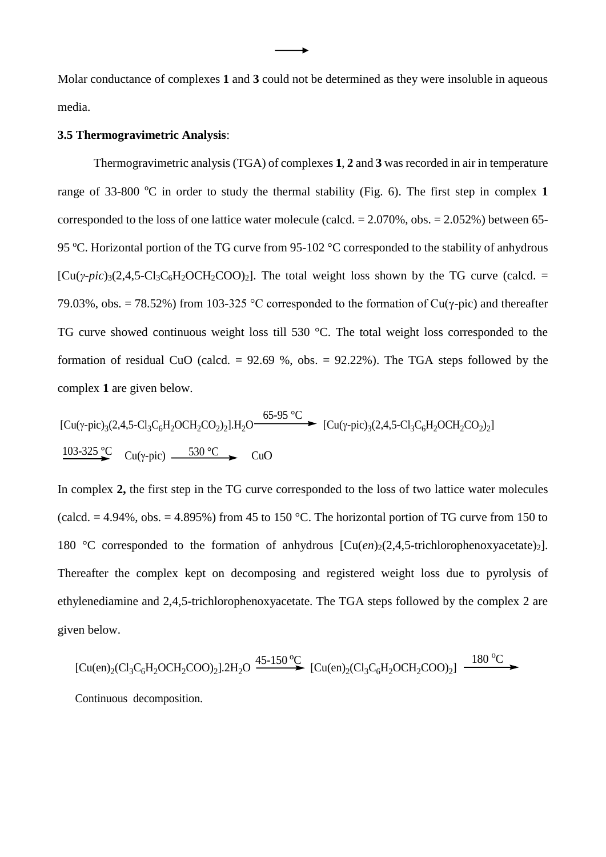Molar conductance of complexes **1** and **3** could not be determined as they were insoluble in aqueous media.

## **3.5 Thermogravimetric Analysis**:

Thermogravimetric analysis (TGA) of complexes **1**, **2** and **3** was recorded in air in temperature range of 33-800  $\degree$ C in order to study the thermal stability (Fig. 6). The first step in complex 1 corresponded to the loss of one lattice water molecule (calcd.  $= 2.070\%$ , obs.  $= 2.052\%$ ) between 65-95 °C. Horizontal portion of the TG curve from 95-102 °C corresponded to the stability of anhydrous  $[Cu(\gamma-pic)_{3}(2,4,5-C]_{3}C_{6}H_{2}OCH_{2}COO_{2}]$ . The total weight loss shown by the TG curve (calcd. = 79.03%, obs. = 78.52%) from 103-325 °C corresponded to the formation of Cu( $\gamma$ -pic) and thereafter TG curve showed continuous weight loss till 530 °C. The total weight loss corresponded to the formation of residual CuO (calcd.  $= 92.69$  %, obs.  $= 92.22$ %). The TGA steps followed by the complex **1** are given below.

$$
[Cu(\gamma-pic)_{3}(2,4,5-Cl_{3}C_{6}H_{2}OCH_{2}CO_{2})_{2}].H_{2}O \longrightarrow [Cu(\gamma-pic)_{3}(2,4,5-Cl_{3}C_{6}H_{2}OCH_{2}CO_{2})_{2}]
$$
  
\n
$$
\frac{103\text{-}325 \text{ °C}}{2} \text{ Cu}(\gamma-pic) \longrightarrow CuO
$$

In complex **2,** the first step in the TG curve corresponded to the loss of two lattice water molecules (calcd.  $= 4.94\%$ , obs.  $= 4.895\%$ ) from 45 to 150 °C. The horizontal portion of TG curve from 150 to 180 °C corresponded to the formation of anhydrous  $[Cu(en)_2(2,4,5-trichlorophenoxyacetate)_2]$ . Thereafter the complex kept on decomposing and registered weight loss due to pyrolysis of ethylenediamine and 2,4,5-trichlorophenoxyacetate. The TGA steps followed by the complex 2 are given below.

[Cu(en)<sub>2</sub>(Cl<sub>3</sub>C<sub>6</sub>H<sub>2</sub>OCH<sub>2</sub>COO)<sub>2</sub>].2H<sub>2</sub>O 
$$
\xrightarrow{45-150\,^{\circ}\text{C}}
$$
 [Cu(en)<sub>2</sub>(Cl<sub>3</sub>C<sub>6</sub>H<sub>2</sub>OCH<sub>2</sub>COO)<sub>2</sub>]  $\xrightarrow{180\,^{\circ}\text{C}}$   
Continuous decomposition.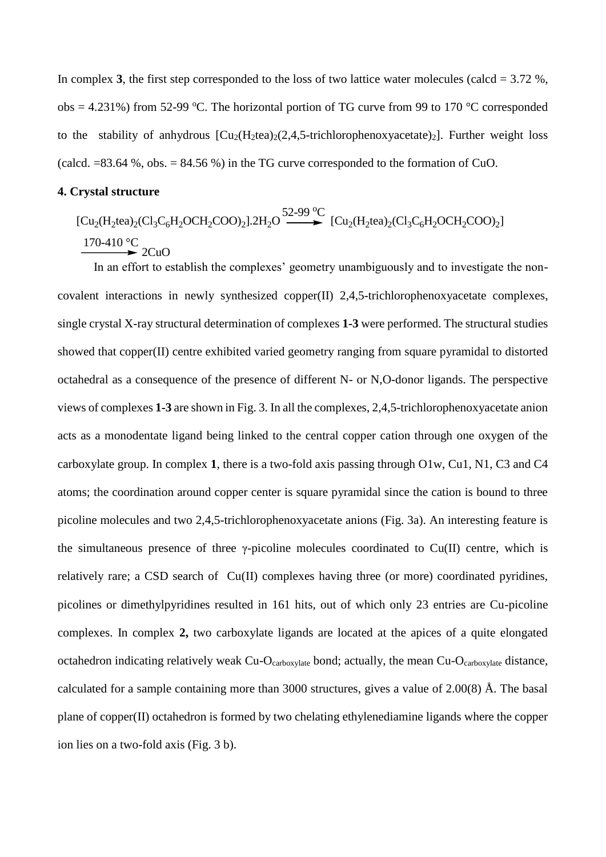In complex **3**, the first step corresponded to the loss of two lattice water molecules (calcd  $= 3.72$  %,  $obs = 4.231\%$ ) from 52-99 °C. The horizontal portion of TG curve from 99 to 170 °C corresponded to the stability of anhydrous  $\left[\text{Cu}_2(\text{H}_2\text{tea})_2(2,4,5\text{-trichlorophenoxyacetate})_2\right]$ . Further weight loss (calcd.  $=83.64$  %, obs.  $= 84.56$  %) in the TG curve corresponded to the formation of CuO.

#### **4. Crystal structure**

 $\text{[Cu}_2(\text{H}_2 \text{tea})_2(\text{Cl}_3\text{C}_6\text{H}_2\text{OCH}_2\text{COO})_2\text{].2H}_2\text{O} \longrightarrow \text{[Cu}_2(\text{H}_2 \text{tea})_2(\text{Cl}_3\text{C}_6\text{H}_2\text{OCH}_2\text{COO})_2\text{]}$ 2CuO 52-99 °C 170-410 °C

In an effort to establish the complexes' geometry unambiguously and to investigate the noncovalent interactions in newly synthesized copper(II) 2,4,5-trichlorophenoxyacetate complexes, single crystal X-ray structural determination of complexes **1-3** were performed. The structural studies showed that copper(II) centre exhibited varied geometry ranging from square pyramidal to distorted octahedral as a consequence of the presence of different N- or N,O-donor ligands. The perspective views of complexes **1-3** are shown in Fig. 3. In all the complexes, 2,4,5-trichlorophenoxyacetate anion acts as a monodentate ligand being linked to the central copper cation through one oxygen of the carboxylate group. In complex **1**, there is a two-fold axis passing through O1w, Cu1, N1, C3 and C4 atoms; the coordination around copper center is square pyramidal since the cation is bound to three picoline molecules and two 2,4,5-trichlorophenoxyacetate anions (Fig. 3a). An interesting feature is the simultaneous presence of three  $\gamma$ -picoline molecules coordinated to Cu(II) centre, which is relatively rare; a CSD search of Cu(II) complexes having three (or more) coordinated pyridines, picolines or dimethylpyridines resulted in 161 hits, out of which only 23 entries are Cu-picoline complexes. In complex **2,** two carboxylate ligands are located at the apices of a quite elongated octahedron indicating relatively weak Cu-Ocarboxylate bond; actually, the mean Cu-Ocarboxylate distance, calculated for a sample containing more than 3000 structures, gives a value of 2.00(8) Å. The basal plane of copper(II) octahedron is formed by two chelating ethylenediamine ligands where the copper ion lies on a two-fold axis (Fig. 3 b).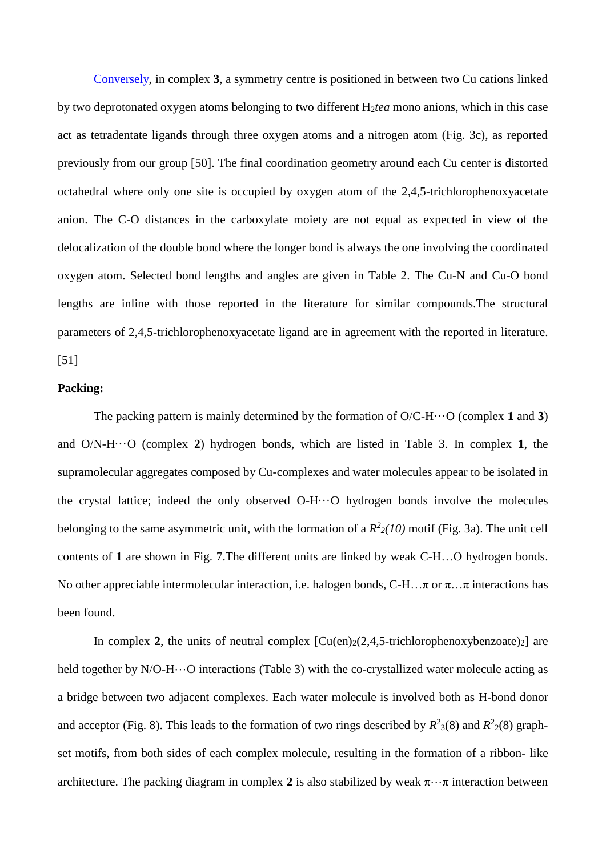Conversely, in complex **3**, a symmetry centre is positioned in between two Cu cations linked by two deprotonated oxygen atoms belonging to two different H2*tea* mono anions, which in this case act as tetradentate ligands through three oxygen atoms and a nitrogen atom (Fig. 3c), as reported previously from our group [50]. The final coordination geometry around each Cu center is distorted octahedral where only one site is occupied by oxygen atom of the 2,4,5-trichlorophenoxyacetate anion. The C-O distances in the carboxylate moiety are not equal as expected in view of the delocalization of the double bond where the longer bond is always the one involving the coordinated oxygen atom. Selected bond lengths and angles are given in Table 2. The Cu-N and Cu-O bond lengths are inline with those reported in the literature for similar compounds.The structural parameters of 2,4,5-trichlorophenoxyacetate ligand are in agreement with the reported in literature. [51]

#### **Packing:**

The packing pattern is mainly determined by the formation of O/C-H···O (complex **1** and **3**) and O/N-H···O (complex **2**) hydrogen bonds, which are listed in Table 3. In complex **1**, the supramolecular aggregates composed by Cu-complexes and water molecules appear to be isolated in the crystal lattice; indeed the only observed  $O-H \cdots O$  hydrogen bonds involve the molecules belonging to the same asymmetric unit, with the formation of a  $R^2/10$  motif (Fig. 3a). The unit cell contents of **1** are shown in Fig. 7.The different units are linked by weak C-H…O hydrogen bonds. No other appreciable intermolecular interaction, i.e. halogen bonds, C-H…π or  $\pi$ …π interactions has been found.

In complex **2**, the units of neutral complex  $\lbrack Cu(en)_2(2,4,5-trichlorophenoxybenzoate)_2 \rbrack$  are held together by N/O-H···O interactions (Table 3) with the co-crystallized water molecule acting as a bridge between two adjacent complexes. Each water molecule is involved both as H-bond donor and acceptor (Fig. 8). This leads to the formation of two rings described by  $R^2(8)$  and  $R^2(8)$  graphset motifs, from both sides of each complex molecule, resulting in the formation of a ribbon- like architecture. The packing diagram in complex 2 is also stabilized by weak  $\pi \cdots \pi$  interaction between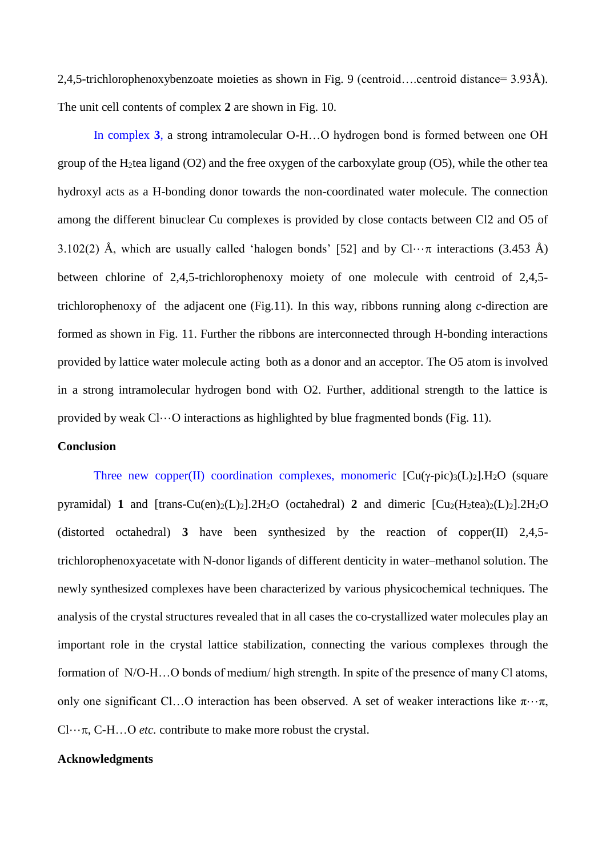2,4,5-trichlorophenoxybenzoate moieties as shown in Fig. 9 (centroid….centroid distance= 3.93Å). The unit cell contents of complex **2** are shown in Fig. 10.

In complex **3**, a strong intramolecular O-H…O hydrogen bond is formed between one OH group of the H2tea ligand (O2) and the free oxygen of the carboxylate group (O5), while the other tea hydroxyl acts as a H-bonding donor towards the non-coordinated water molecule. The connection among the different binuclear Cu complexes is provided by close contacts between Cl2 and O5 of 3.102(2) Å, which are usually called 'halogen bonds' [52] and by  $Cl_{\cdots}$  interactions (3.453 Å) between chlorine of 2,4,5-trichlorophenoxy moiety of one molecule with centroid of 2,4,5 trichlorophenoxy of the adjacent one (Fig.11). In this way, ribbons running along *c*-direction are formed as shown in Fig. 11. Further the ribbons are interconnected through H-bonding interactions provided by lattice water molecule acting both as a donor and an acceptor. The O5 atom is involved in a strong intramolecular hydrogen bond with O2. Further, additional strength to the lattice is provided by weak  $Cl...O$  interactions as highlighted by blue fragmented bonds (Fig. 11).

## **Conclusion**

Three new copper(II) coordination complexes, monomeric  $\left[\text{Cu}(\gamma\text{-pic})_3(\text{L})_2\right]$ . H<sub>2</sub>O (square pyramidal) **1** and  $[\text{trans-Cu(en)}_2(L)_2]$ .  $2H_2O$  (octahedral) **2** and dimeric  $[Cu_2(H_2tea)_2(L)_2]$ .  $2H_2O$ (distorted octahedral) **3** have been synthesized by the reaction of copper(II) 2,4,5 trichlorophenoxyacetate with N-donor ligands of different denticity in water–methanol solution. The newly synthesized complexes have been characterized by various physicochemical techniques. The analysis of the crystal structures revealed that in all cases the co-crystallized water molecules play an important role in the crystal lattice stabilization, connecting the various complexes through the formation of N/O-H…O bonds of medium/ high strength. In spite of the presence of many Cl atoms, only one significant Cl...O interaction has been observed. A set of weaker interactions like  $\pi \cdot \cdot \pi$ ,  $Cl...$ , C-H...O *etc.* contribute to make more robust the crystal.

#### **Acknowledgments**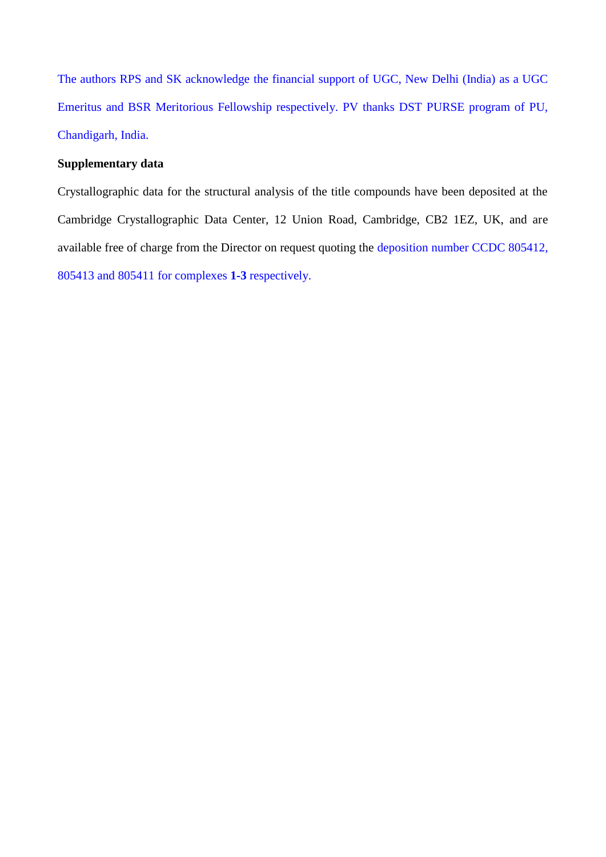The authors RPS and SK acknowledge the financial support of UGC, New Delhi (India) as a UGC Emeritus and BSR Meritorious Fellowship respectively. PV thanks DST PURSE program of PU, Chandigarh, India.

# **Supplementary data**

Crystallographic data for the structural analysis of the title compounds have been deposited at the Cambridge Crystallographic Data Center, 12 Union Road, Cambridge, CB2 1EZ, UK, and are available free of charge from the Director on request quoting the deposition number CCDC 805412, 805413 and 805411 for complexes **1-3** respectively.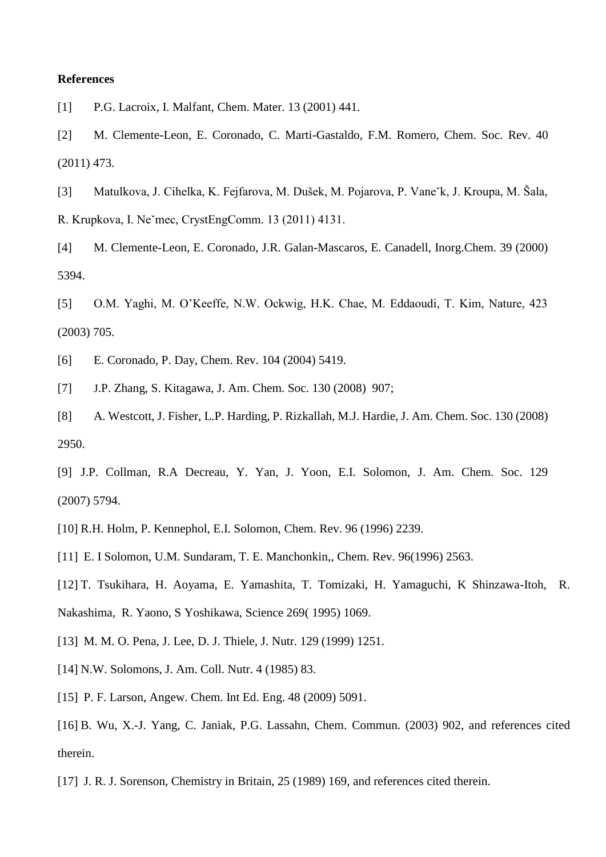## **References**

[1] P.G. Lacroix, I. Malfant, Chem. Mater. 13 (2001) 441.

[2] M. Clemente-Leon, E. Coronado, C. Marti-Gastaldo, F.M. Romero, Chem. Soc. Rev. 40 (2011) 473.

[3] Matulkova, J. Cihelka, K. Fejfarova, M. Dušek, M. Pojarova, P. Vaneˇk, J. Kroupa, M. Šala, R. Krupkova, I. Neˇmec, CrystEngComm. 13 (2011) 4131.

[4] M. Clemente-Leon, E. Coronado, J.R. Galan-Mascaros, E. Canadell, Inorg.Chem. 39 (2000) 5394.

[5] O.M. Yaghi, M. O'Keeffe, N.W. Ockwig, H.K. Chae, M. Eddaoudi, T. Kim, Nature, 423 (2003) 705.

[6] E. Coronado, P. Day, Chem. Rev. 104 (2004) 5419.

[7] J.P. Zhang, S. Kitagawa, J. Am. Chem. Soc. 130 (2008) 907;

[8] A. Westcott, J. Fisher, L.P. Harding, P. Rizkallah, M.J. Hardie, J. Am. Chem. Soc. 130 (2008) 2950.

[9] J.P. Collman, R.A Decreau, Y. Yan, J. Yoon, E.I. Solomon, J. Am. Chem. Soc. 129 (2007) 5794.

[10] R.H. Holm, P. Kennephol, E.I. Solomon, Chem. Rev. 96 (1996) 2239.

[11] E. I Solomon, U.M. Sundaram, T. E. Manchonkin,, Chem. Rev. 96(1996) 2563.

[12] T. Tsukihara, H. Aoyama, E. Yamashita, T. Tomizaki, H. Yamaguchi, K Shinzawa-Itoh, R. Nakashima, R. Yaono, S Yoshikawa, Science 269( 1995) 1069.

- [13] M. M. O. Pena, J. Lee, D. J. Thiele, J. Nutr. 129 (1999) 1251.
- [14] N.W. Solomons, J. Am. Coll. Nutr. 4 (1985) 83.
- [15] P. F. Larson, Angew. Chem. Int Ed. Eng. 48 (2009) 5091.

[16] B. Wu, X.-J. Yang, C. Janiak, P.G. Lassahn, Chem. Commun. (2003) 902, and references cited therein.

[17] J. R. J. Sorenson, Chemistry in Britain, 25 (1989) 169, and references cited therein.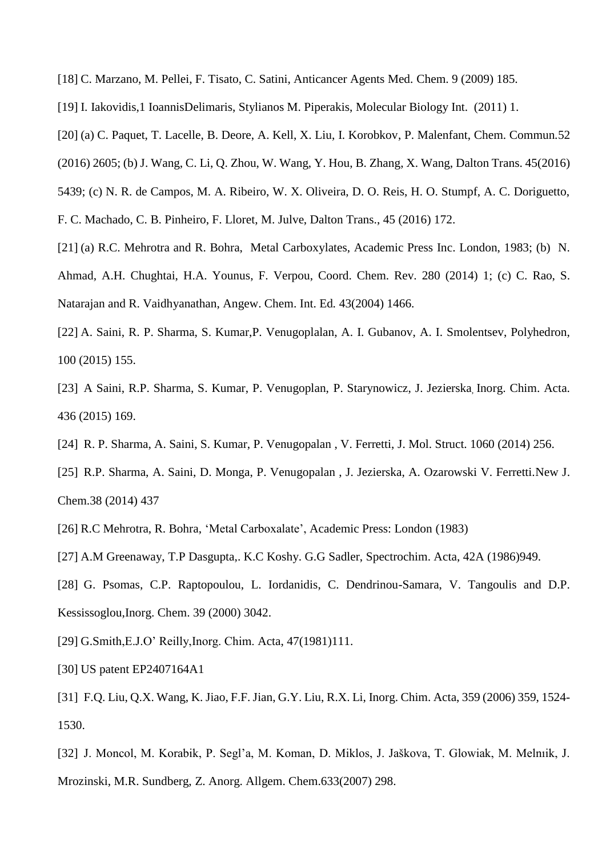- [18] C. Marzano, M. Pellei, F. Tisato, C. Satini, Anticancer Agents Med. Chem. 9 (2009) 185.
- [19] I. Iakovidis,1 IoannisDelimaris, Stylianos M. Piperakis, Molecular Biology Int. (2011) 1.
- [20] (a) C. Paquet, T. Lacelle, B. Deore, A. Kell, X. Liu, I. Korobkov, P. Malenfant, Chem. Commun*.*52
- (2016) 2605; (b) J. Wang, C. Li, Q. Zhou, W. Wang, Y. Hou, B. Zhang, X. Wang, Dalton Trans. 45(2016)
- 5439; (c) N. R. de Campos, M. A. Ribeiro, W. X. Oliveira, D. O. Reis, H. O. Stumpf, A. C. Doriguetto,
- F. C. Machado, C. B. Pinheiro, F. Lloret, M. Julve, Dalton Trans., 45 (2016) 172.
- [21] (a) R.C. Mehrotra and R. Bohra, Metal Carboxylates, Academic Press Inc. London, 1983; (b) N.
- Ahmad, A.H. Chughtai, H.A. Younus, F. Verpou, Coord. Chem. Rev. 280 (2014) 1; (c) C. Rao, S. Natarajan and R. Vaidhyanathan, Angew. Chem. Int. Ed*.* 43(2004) 1466.
- [22] A. Saini, R. P. Sharma, S. Kumar,P. Venugoplalan, A. I. Gubanov, A. I. Smolentsev, Polyhedron, 100 (2015) 155.
- [23] A Saini, R.P. Sharma, S. Kumar, P. Venugoplan, P. Starynowicz, J. Jezierska, Inorg. Chim. Acta. 436 (2015) 169.
- [24] R. P. Sharma, A. Saini, S. Kumar, P. Venugopalan , V. Ferretti, J. Mol. Struct. 1060 (2014) 256.
- [25] R.P. Sharma, A. Saini, D. Monga, P. Venugopalan , J. Jezierska, A. Ozarowski V. Ferretti.New J. Chem.38 (2014) 437
- [26] R.C Mehrotra, R. Bohra, 'Metal Carboxalate', Academic Press: London (1983)
- [27] A.M Greenaway, T.P Dasgupta,. K.C Koshy. G.G Sadler, Spectrochim. Acta, 42A (1986)949.
- [28] G. Psomas, C.P. Raptopoulou, L. Iordanidis, C. Dendrinou-Samara, V. Tangoulis and D.P. Kessissoglou,Inorg. Chem. 39 (2000) 3042.
- [29] G.Smith,E.J.O' Reilly,Inorg. Chim. Acta, 47(1981)111.
- [30] US patent EP2407164A1
- [31] F.Q. Liu, Q.X. Wang, K. Jiao, F.F. Jian, G.Y. Liu, R.X. Li, Inorg. Chim. Acta, 359 (2006) 359, 1524- 1530.
- [32] J. Moncol, M. Korabik, P. Segl'a, M. Koman, D. Miklos, J. Jaškova, T. Glowiak, M. Melnıik, J. Mrozinski, M.R. Sundberg, Z. Anorg. Allgem. Chem.633(2007) 298.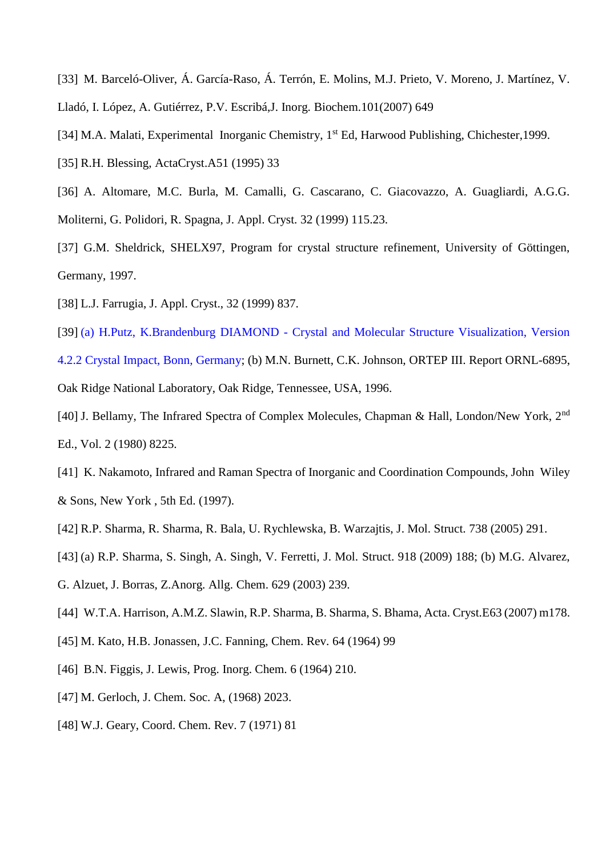- [33] M. Barceló-Oliver, Á. García-Raso, Á. Terrón, E. Molins, M.J. Prieto, V. Moreno, J. Martínez, V. Lladó, I. López, A. Gutiérrez, P.V. Escribá,J. Inorg. Biochem.101(2007) 649
- [34] M.A. Malati, Experimental Inorganic Chemistry, 1<sup>st</sup> Ed, Harwood Publishing, Chichester, 1999.
- [35] R.H. Blessing, ActaCryst.A51 (1995) 33
- [36] A. Altomare, M.C. Burla, M. Camalli, G. Cascarano, C. Giacovazzo, A. Guagliardi, A.G.G. Moliterni, G. Polidori, R. Spagna, J. Appl. Cryst. 32 (1999) 115.23.
- [37] G.M. Sheldrick, SHELX97, Program for crystal structure refinement, University of Göttingen, Germany, 1997.
- [38] L.J. Farrugia, J. Appl. Cryst., 32 (1999) 837.
- [39] (a) H.Putz, K.Brandenburg DIAMOND Crystal and Molecular Structure Visualization, Version 4.2.2 Crystal Impact, Bonn, Germany; (b) M.N. Burnett, C.K. Johnson, ORTEP III. Report ORNL-6895, Oak Ridge National Laboratory, Oak Ridge, Tennessee, USA, 1996.
- [40] J. Bellamy, The Infrared Spectra of Complex Molecules, Chapman & Hall, London/New York, 2nd Ed., Vol. 2 (1980) 8225.
- [41] K. Nakamoto, Infrared and Raman Spectra of Inorganic and Coordination Compounds, John Wiley & Sons, New York , 5th Ed. (1997).
- [42] R.P. Sharma, R. Sharma, R. Bala, U. Rychlewska, B. Warzajtis, J. Mol. Struct. 738 (2005) 291.
- [43] (a) R.P. Sharma, S. Singh, A. Singh, V. Ferretti, J. Mol. Struct. 918 (2009) 188; (b) M.G. Alvarez,
- G. Alzuet, J. Borras, Z.Anorg. Allg. Chem. 629 (2003) 239.
- [44] W.T.A. Harrison, A.M.Z. Slawin, R.P. Sharma, B. Sharma, S. Bhama, Acta. Cryst.E63 (2007) m178.
- [45] M. Kato, H.B. Jonassen, J.C. Fanning, Chem. Rev. 64 (1964) 99
- [46] B.N. Figgis, J. Lewis, Prog. Inorg. Chem. 6 (1964) 210.
- [47] M. Gerloch, J. Chem. Soc. A, (1968) 2023.
- [48] W.J. Geary, Coord. Chem. Rev. 7 (1971) 81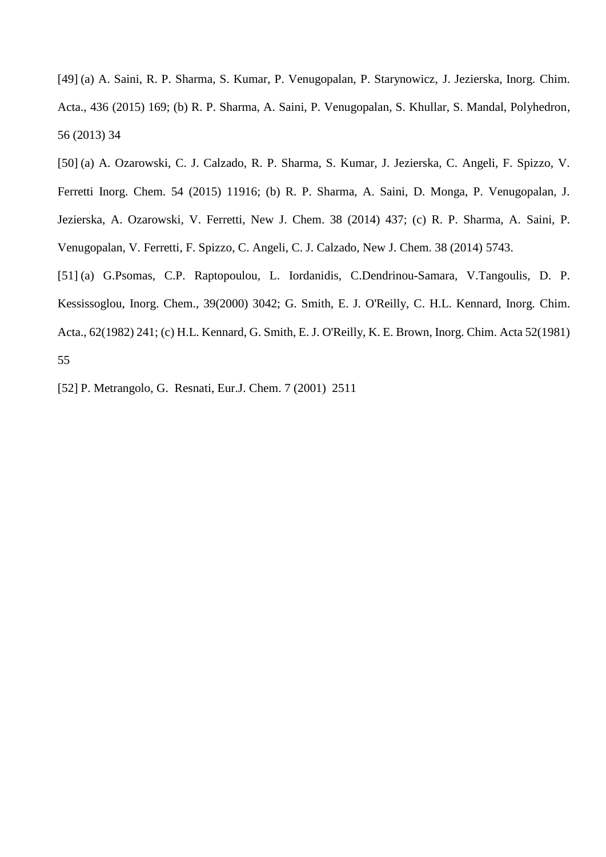[49] (a) A. Saini, R. P. Sharma, S. Kumar, P. Venugopalan, P. Starynowicz, J. Jezierska, Inorg. Chim. Acta., 436 (2015) 169; (b) R. P. Sharma, A. Saini, P. Venugopalan, S. Khullar, S. Mandal, Polyhedron, 56 (2013) 34

[50] (a) A. Ozarowski, C. J. Calzado, R. P. Sharma, S. Kumar, J. Jezierska, C. Angeli, F. Spizzo, V.

Ferretti Inorg. Chem. 54 (2015) 11916; (b) R. P. Sharma, A. Saini, D. Monga, P. Venugopalan, J.

Jezierska, A. Ozarowski, V. Ferretti, New J. Chem. 38 (2014) 437; (c) R. P. Sharma, A. Saini, P.

Venugopalan, V. Ferretti, F. Spizzo, C. Angeli, C. J. Calzado, New J. Chem. 38 (2014) 5743.

[51] (a) G.Psomas, C.P. Raptopoulou, L. Iordanidis, C.Dendrinou-Samara, V.Tangoulis, D. P. Kessissoglou, Inorg. Chem., 39(2000) 3042; G. Smith, E. J. O'Reilly, C. H.L. Kennard, Inorg. Chim. Acta., 62(1982) 241; (c) H.L. Kennard, G. Smith, E. J. O'Reilly, K. E. Brown, Inorg. Chim. Acta 52(1981) 55

[52] P. Metrangolo, G. Resnati, Eur.J. Chem. 7 (2001) 2511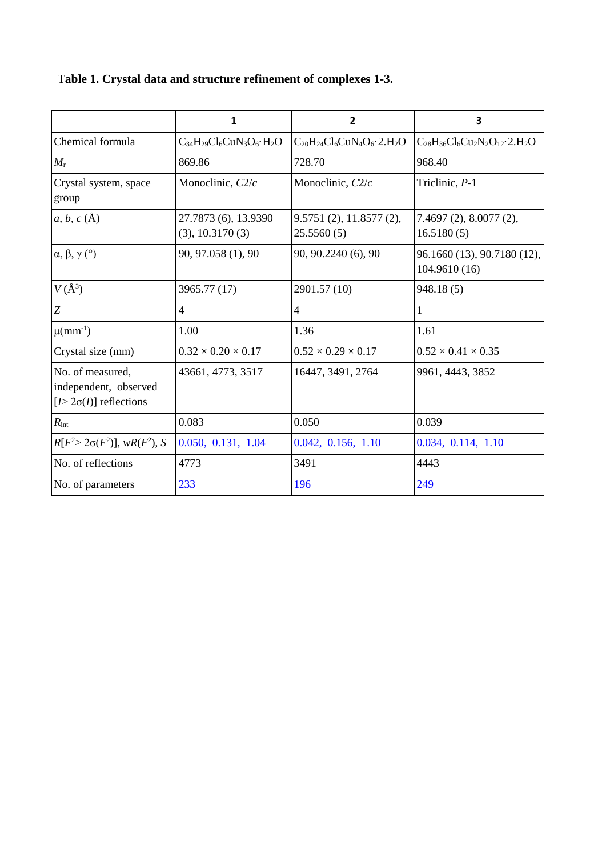|  |  | Table 1. Crystal data and structure refinement of complexes 1-3. |  |  |
|--|--|------------------------------------------------------------------|--|--|
|  |  |                                                                  |  |  |

|                                                                               | 1                                       | 2                                       | 3                                            |
|-------------------------------------------------------------------------------|-----------------------------------------|-----------------------------------------|----------------------------------------------|
| Chemical formula                                                              | $C_{34}H_{29}Cl_6CuN_3O_6\cdot H_2O$    | $C_{20}H_{24}Cl_6CuN_4O_6 \cdot 2.H_2O$ | $C_{28}H_{36}Cl_6Cu_2N_2O_{12}\cdot 2.H_2O$  |
| $M_{\rm r}$                                                                   | 869.86                                  | 728.70                                  | 968.40                                       |
| Crystal system, space<br>group                                                | Monoclinic, $C2/c$                      | Monoclinic, $C2/c$                      | Triclinic, P-1                               |
| $a, b, c (\AA)$                                                               | 27.7873 (6), 13.9390<br>(3), 10.3170(3) | 9.5751(2), 11.8577(2),<br>25.5560(5)    | 7.4697(2), 8.0077(2),<br>16.5180(5)          |
| $\alpha, \beta, \gamma$ (°)                                                   | 90, 97.058 (1), 90                      | 90, 90.2240 (6), 90                     | 96.1660 (13), 90.7180 (12),<br>104.9610 (16) |
| $V(\AA^3)$                                                                    | 3965.77 (17)                            | 2901.57 (10)                            | 948.18(5)                                    |
| Z                                                                             | $\overline{4}$                          | $\overline{4}$                          | $\mathbf{1}$                                 |
| $\mu$ (mm <sup>-1</sup> )                                                     | 1.00                                    | 1.36                                    | 1.61                                         |
| Crystal size (mm)                                                             | $0.32 \times 0.20 \times 0.17$          | $0.52 \times 0.29 \times 0.17$          | $0.52 \times 0.41 \times 0.35$               |
| No. of measured,<br>independent, observed<br>[ $I > 2\sigma(I)$ ] reflections | 43661, 4773, 3517                       | 16447, 3491, 2764                       | 9961, 4443, 3852                             |
| $R_{\rm int}$                                                                 | 0.083                                   | 0.050                                   | 0.039                                        |
| $R[F^{2} > 2\sigma(F^{2})], wR(F^{2}), S$                                     | 0.050, 0.131, 1.04                      | 0.042, 0.156, 1.10                      | 0.034, 0.114, 1.10                           |
| No. of reflections                                                            | 4773                                    | 3491                                    | 4443                                         |
| No. of parameters                                                             | 233                                     | 196                                     | 249                                          |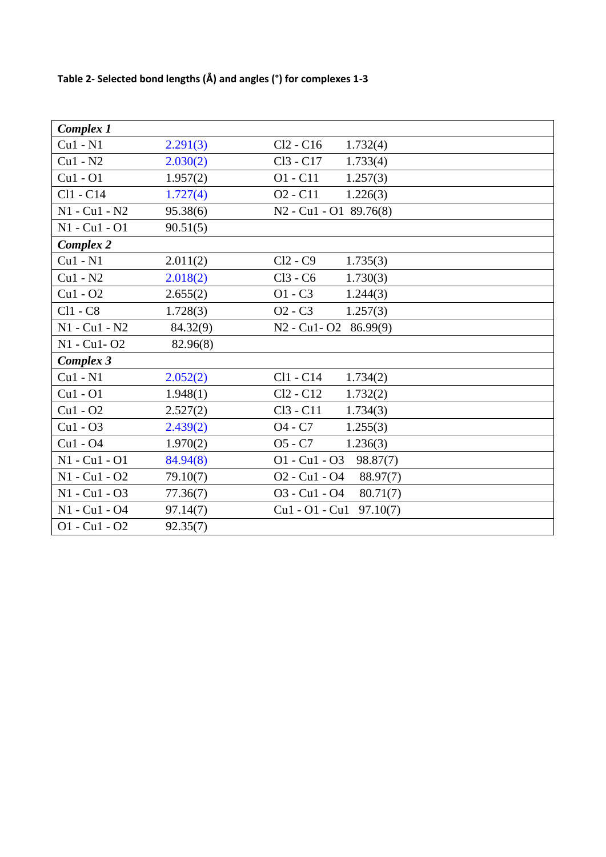# **Table 2- Selected bond lengths (Å) and angles (°) for complexes 1-3**

| <b>Complex 1</b> |          |                                                               |
|------------------|----------|---------------------------------------------------------------|
| $Cu1 - N1$       | 2.291(3) | $Cl2 - C16$<br>1.732(4)                                       |
| $Cu1 - N2$       | 2.030(2) | Cl <sub>3</sub> - C <sub>17</sub><br>1.733(4)                 |
| $Cu1 - O1$       | 1.957(2) | $O1 - C11$<br>1.257(3)                                        |
| Cl1 - C14        | 1.727(4) | O <sub>2</sub> - C <sub>11</sub><br>1.226(3)                  |
| $N1 - Cu1 - N2$  | 95.38(6) | N <sub>2</sub> - Cu <sub>1</sub> - O <sub>1</sub> 89.76(8)    |
| N1 - Cu1 - O1    | 90.51(5) |                                                               |
| <b>Complex 2</b> |          |                                                               |
| $Cu1 - N1$       | 2.011(2) | $Cl2 - C9$<br>1.735(3)                                        |
| $Cu1 - N2$       | 2.018(2) | $Cl3 - C6$<br>1.730(3)                                        |
| $Cu1 - O2$       | 2.655(2) | $O1 - C3$<br>1.244(3)                                         |
| $Cl1 - C8$       | 1.728(3) | $O2 - C3$<br>1.257(3)                                         |
| $N1 - Cu1 - N2$  | 84.32(9) | N2 - Cu1 - O2 86.99(9)                                        |
| N1 - Cu1 - O2    | 82.96(8) |                                                               |
| Complex 3        |          |                                                               |
| $Cu1 - N1$       | 2.052(2) | Cl1 - C14<br>1.734(2)                                         |
| $Cu1 - O1$       | 1.948(1) | $Cl2 - Cl2$<br>1.732(2)                                       |
| $Cu1 - O2$       | 2.527(2) | Cl <sub>3</sub> - C <sub>11</sub><br>1.734(3)                 |
| $Cu1 - O3$       | 2.439(2) | O <sub>4</sub> - C <sub>7</sub><br>1.255(3)                   |
| $Cu1 - O4$       | 1.970(2) | $O5 - C7$<br>1.236(3)                                         |
| N1 - Cu1 - O1    | 84.94(8) | $O1 - Cu1 - O3$<br>98.87(7)                                   |
| N1 - Cu1 - O2    | 79.10(7) | O <sub>2</sub> - Cu <sub>1</sub> - O <sub>4</sub><br>88.97(7) |
| N1 - Cu1 - O3    | 77.36(7) | O3 - Cu1 - O4<br>80.71(7)                                     |
| N1 - Cu1 - O4    | 97.14(7) | $Cu1 - O1 - Cu1$<br>97.10(7)                                  |
| $O1 - Cu1 - O2$  | 92.35(7) |                                                               |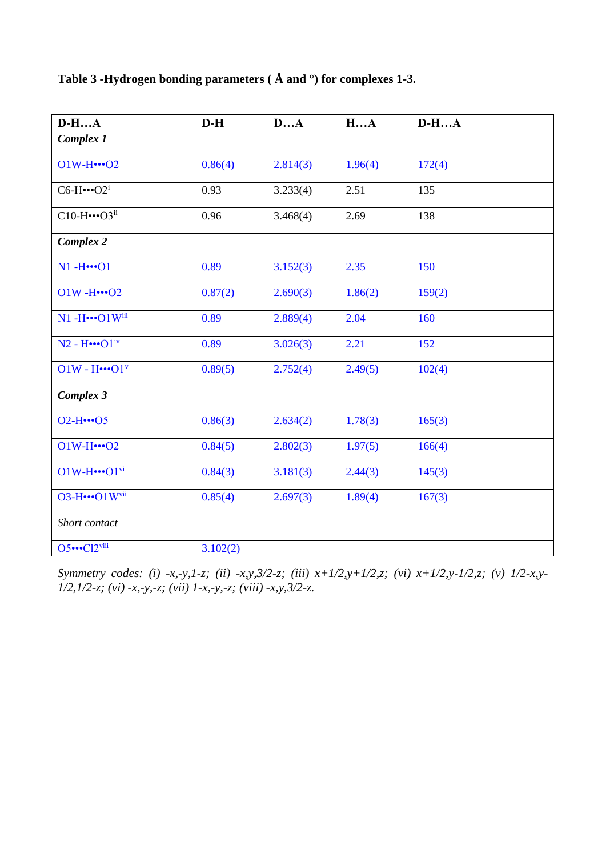| $D-HA$                              | $D-H$    | DA       | HA      | $D-HA$ |
|-------------------------------------|----------|----------|---------|--------|
| Complex 1                           |          |          |         |        |
| $O1W-H$ $\cdots$ O2                 | 0.86(4)  | 2.814(3) | 1.96(4) | 172(4) |
| $C6-H$ ··· $O2^i$                   | 0.93     | 3.233(4) | 2.51    | 135    |
| $C10-H$ ··· $O3^{ii}$               | 0.96     | 3.468(4) | 2.69    | 138    |
| Complex 2                           |          |          |         |        |
| $N1 - H$ $$ O1                      | 0.89     | 3.152(3) | 2.35    | 150    |
| $O1W - H$ $O2$                      | 0.87(2)  | 2.690(3) | 1.86(2) | 159(2) |
| N1-H.OlWiii                         | 0.89     | 2.889(4) | 2.04    | 160    |
| $N2 - H$ $\cdots$ O1 $\rm i$ v      | 0.89     | 3.026(3) | 2.21    | 152    |
| $O1W - H$ $•• O1v$                  | 0.89(5)  | 2.752(4) | 2.49(5) | 102(4) |
| Complex 3                           |          |          |         |        |
| $O2-H$ $O5$                         | 0.86(3)  | 2.634(2) | 1.78(3) | 165(3) |
| $O1W-H$ $O2$                        | 0.84(5)  | 2.802(3) | 1.97(5) | 166(4) |
| $O1W-H$ $\cdots$ $O1$ <sup>vi</sup> | 0.84(3)  | 3.181(3) | 2.44(3) | 145(3) |
| O3-HO1Wvii                          | 0.85(4)  | 2.697(3) | 1.89(4) | 167(3) |
| Short contact                       |          |          |         |        |
| O5Cl2viii                           | 3.102(2) |          |         |        |

**Table 3 -Hydrogen bonding parameters ( Å and °) for complexes 1-3.**

*Symmetry codes: (i) -x,-y,1-z; (ii) -x,y,3/2-z; (iii) x+1/2,y+1/2,z; (vi) x+1/2,y-1/2,z; (v) 1/2-x,y-1/2,1/2-z; (vi) -x,-y,-z; (vii) 1-x,-y,-z; (viii) -x,y,3/2-z.*